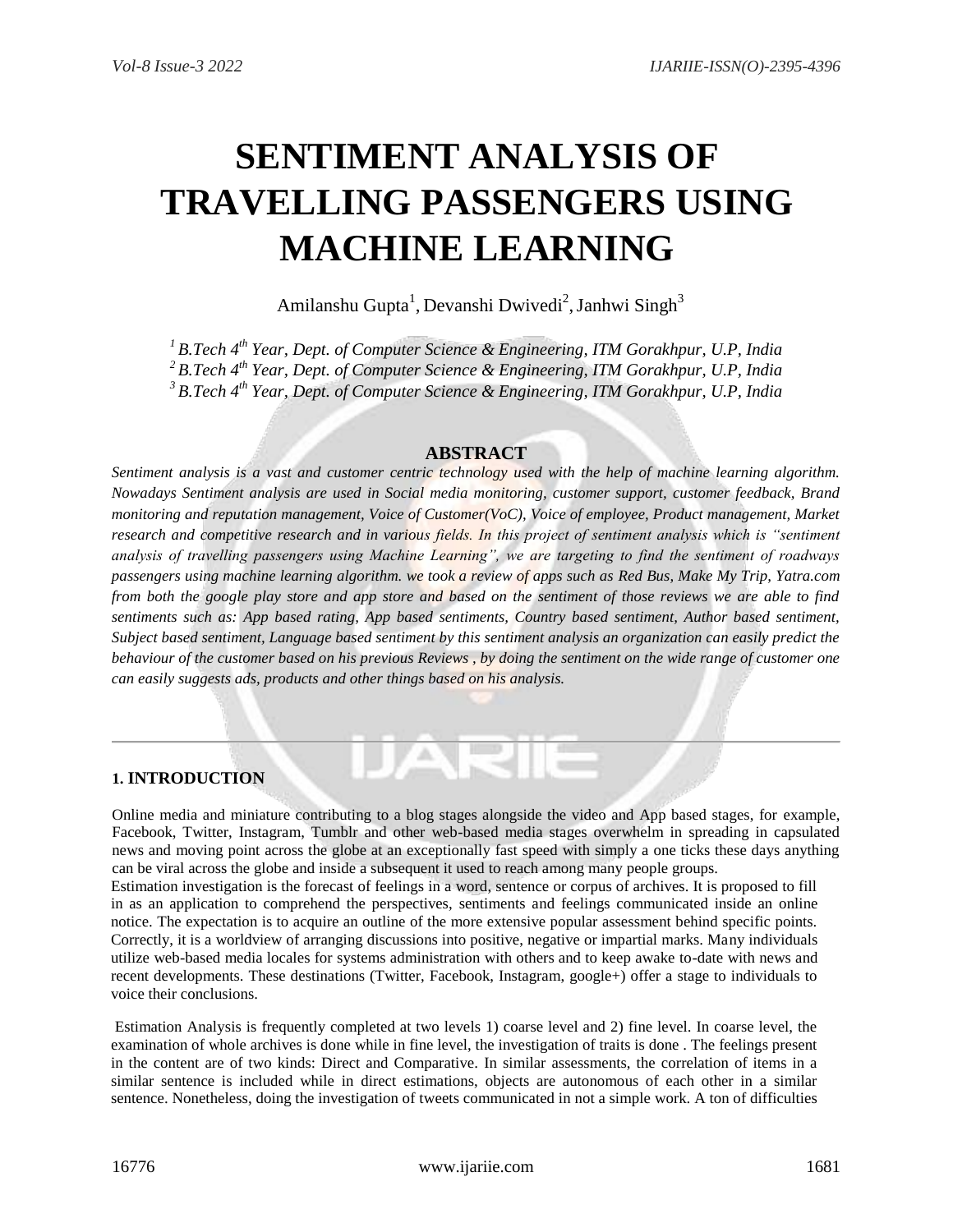# **SENTIMENT ANALYSIS OF TRAVELLING PASSENGERS USING MACHINE LEARNING**

Amilanshu Gupta<sup>1</sup>, Devanshi Dwivedi<sup>2</sup>, Janhwi Singh<sup>3</sup>

*<sup>1</sup> B.Tech 4 th Year, Dept. of Computer Science & Engineering, ITM Gorakhpur, U.P, India <sup>2</sup> B.Tech 4 th Year, Dept. of Computer Science & Engineering, ITM Gorakhpur, U.P, India <sup>3</sup>B.Tech 4 th Year, Dept. of Computer Science & Engineering, ITM Gorakhpur, U.P, India*

## **ABSTRACT**

*Sentiment analysis is a vast and customer centric technology used with the help of machine learning algorithm. Nowadays Sentiment analysis are used in Social media monitoring, customer support, customer feedback, Brand monitoring and reputation management, Voice of Customer(VoC), Voice of employee, Product management, Market research and competitive research and in various fields. In this project of sentiment analysis which is "sentiment analysis of travelling passengers using Machine Learning", we are targeting to find the sentiment of roadways passengers using machine learning algorithm. we took a review of apps such as Red Bus, Make My Trip, Yatra.com from both the google play store and app store and based on the sentiment of those reviews we are able to find sentiments such as: App based rating, App based sentiments, Country based sentiment, Author based sentiment, Subject based sentiment, Language based sentiment by this sentiment analysis an organization can easily predict the behaviour of the customer based on his previous Reviews , by doing the sentiment on the wide range of customer one can easily suggests ads, products and other things based on his analysis.* 

## **1. INTRODUCTION**

Online media and miniature contributing to a blog stages alongside the video and App based stages, for example, Facebook, Twitter, Instagram, Tumblr and other web-based media stages overwhelm in spreading in capsulated news and moving point across the globe at an exceptionally fast speed with simply a one ticks these days anything can be viral across the globe and inside a subsequent it used to reach among many people groups. Estimation investigation is the forecast of feelings in a word, sentence or corpus of archives. It is proposed to fill in as an application to comprehend the perspectives, sentiments and feelings communicated inside an online notice. The expectation is to acquire an outline of the more extensive popular assessment behind specific points. Correctly, it is a worldview of arranging discussions into positive, negative or impartial marks. Many individuals utilize web-based media locales for systems administration with others and to keep awake to-date with news and recent developments. These destinations (Twitter, Facebook, Instagram, google+) offer a stage to individuals to voice their conclusions.

Estimation Analysis is frequently completed at two levels 1) coarse level and 2) fine level. In coarse level, the examination of whole archives is done while in fine level, the investigation of traits is done . The feelings present in the content are of two kinds: Direct and Comparative. In similar assessments, the correlation of items in a similar sentence is included while in direct estimations, objects are autonomous of each other in a similar sentence. Nonetheless, doing the investigation of tweets communicated in not a simple work. A ton of difficulties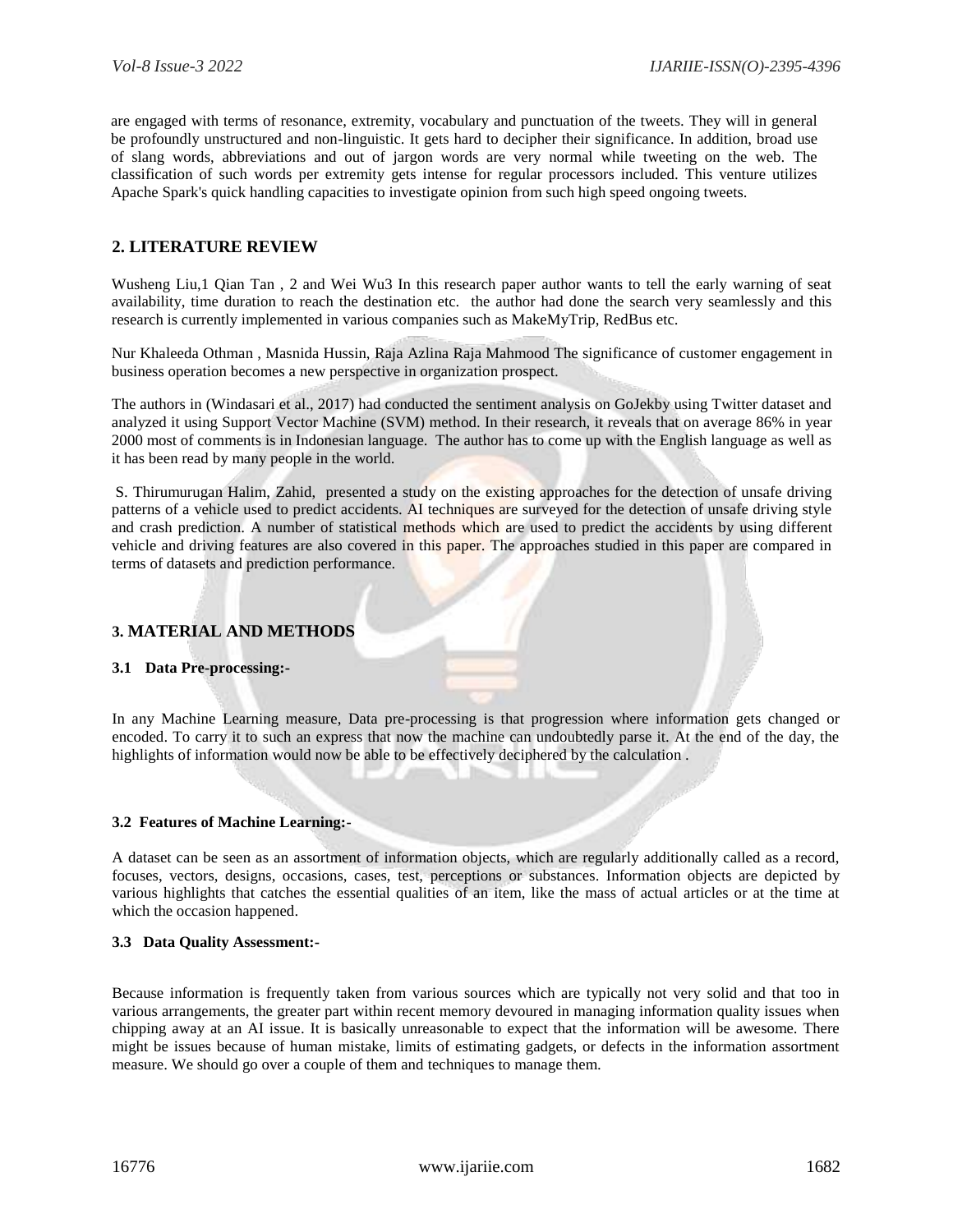are engaged with terms of resonance, extremity, vocabulary and punctuation of the tweets. They will in general be profoundly unstructured and non-linguistic. It gets hard to decipher their significance. In addition, broad use of slang words, abbreviations and out of jargon words are very normal while tweeting on the web. The classification of such words per extremity gets intense for regular processors included. This venture utilizes Apache Spark's quick handling capacities to investigate opinion from such high speed ongoing tweets.

# **2. LITERATURE REVIEW**

Wusheng Liu,1 Qian Tan, 2 and Wei Wu3 In this research paper author wants to tell the early warning of seat availability, time duration to reach the destination etc. the author had done the search very seamlessly and this research is currently implemented in various companies such as MakeMyTrip, RedBus etc.

Nur Khaleeda Othman , Masnida Hussin, Raja Azlina Raja Mahmood The significance of customer engagement in business operation becomes a new perspective in organization prospect.

The authors in (Windasari et al., 2017) had conducted the sentiment analysis on GoJekby using Twitter dataset and analyzed it using Support Vector Machine (SVM) method. In their research, it reveals that on average 86% in year 2000 most of comments is in Indonesian language. The author has to come up with the English language as well as it has been read by many people in the world.

S. Thirumurugan Halim, Zahid, presented a study on the existing approaches for the detection of unsafe driving patterns of a vehicle used to predict accidents. AI techniques are surveyed for the detection of unsafe driving style and crash prediction. A number of statistical methods which are used to predict the accidents by using different vehicle and driving features are also covered in this paper. The approaches studied in this paper are compared in terms of datasets and prediction performance.

## **3. MATERIAL AND METHODS**

## **3.1 Data Pre-processing:-**

In any Machine Learning measure, Data pre-processing is that progression where information gets changed or encoded. To carry it to such an express that now the machine can undoubtedly parse it. At the end of the day, the highlights of information would now be able to be effectively deciphered by the calculation .

## **3.2 Features of Machine Learning:-**

A dataset can be seen as an assortment of information objects, which are regularly additionally called as a record, focuses, vectors, designs, occasions, cases, test, perceptions or substances. Information objects are depicted by various highlights that catches the essential qualities of an item, like the mass of actual articles or at the time at which the occasion happened.

#### **3.3 Data Quality Assessment:-**

Because information is frequently taken from various sources which are typically not very solid and that too in various arrangements, the greater part within recent memory devoured in managing information quality issues when chipping away at an AI issue. It is basically unreasonable to expect that the information will be awesome. There might be issues because of human mistake, limits of estimating gadgets, or defects in the information assortment measure. We should go over a couple of them and techniques to manage them.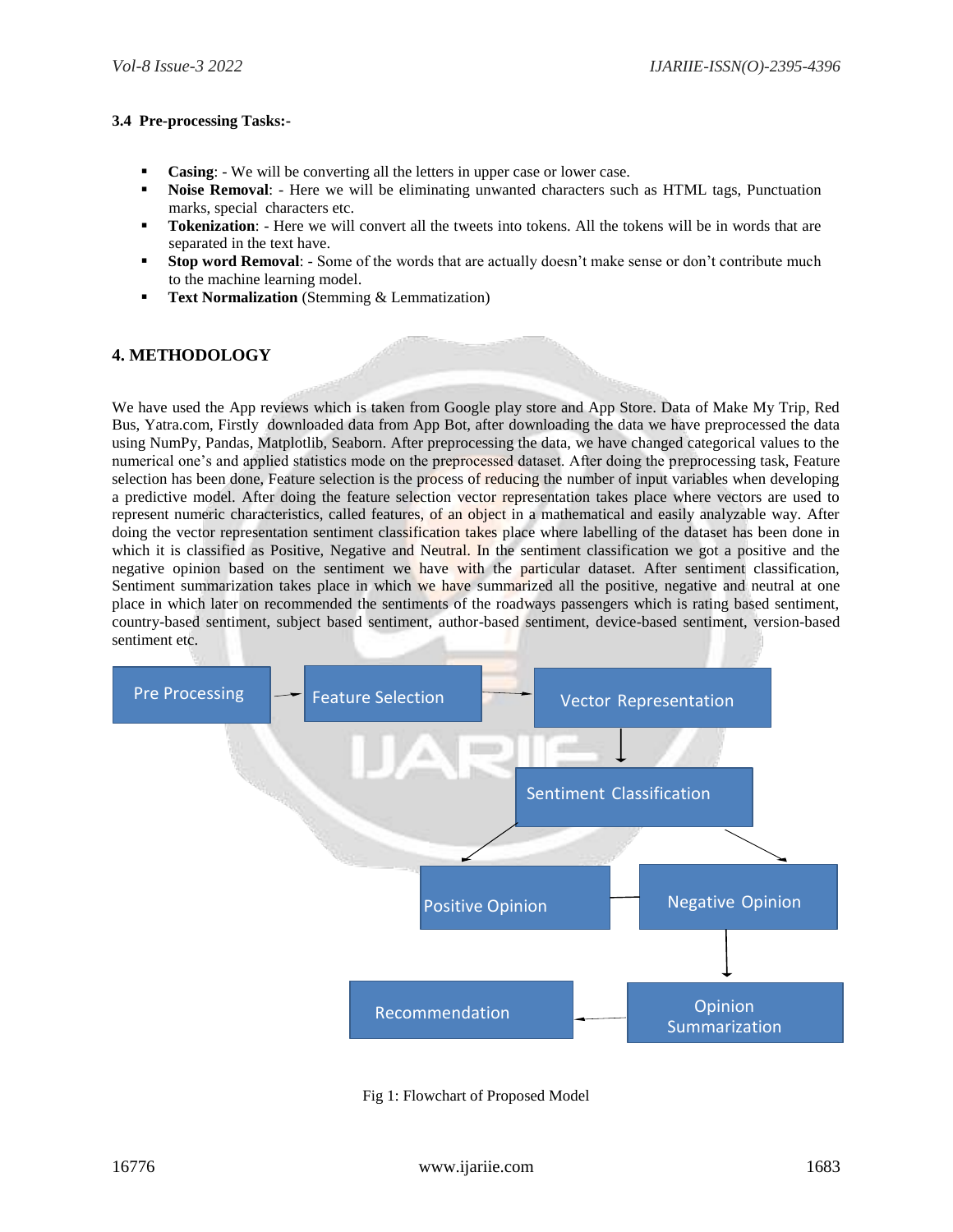#### **3.4 Pre-processing Tasks:-**

- **Casing**: We will be converting all the letters in upper case or lower case.
- **Noise Removal**: Here we will be eliminating unwanted characters such as HTML tags, Punctuation marks, special characters etc.
- **Tokenization**: Here we will convert all the tweets into tokens. All the tokens will be in words that are separated in the text have.
- **Stop word Removal**: Some of the words that are actually doesn't make sense or don't contribute much to the machine learning model.
- **Text Normalization** (Stemming & Lemmatization)

# **4. METHODOLOGY**

We have used the App reviews which is taken from Google play store and App Store. Data of Make My Trip, Red Bus, Yatra.com, Firstly downloaded data from App Bot, after downloading the data we have preprocessed the data using NumPy, Pandas, Matplotlib, Seaborn. After preprocessing the data, we have changed categorical values to the numerical one's and applied statistics mode on the preprocessed dataset. After doing the preprocessing task, Feature selection has been done, Feature selection is the process of reducing the number of input variables when developing a predictive model. After doing the feature selection vector representation takes place where vectors are used to represent numeric characteristics, called features, of an object in a mathematical and easily analyzable way. After doing the vector representation sentiment classification takes place where labelling of the dataset has been done in which it is classified as Positive, Negative and Neutral. In the sentiment classification we got a positive and the negative opinion based on the sentiment we have with the particular dataset. After sentiment classification, Sentiment summarization takes place in which we have summarized all the positive, negative and neutral at one place in which later on recommended the sentiments of the roadways passengers which is rating based sentiment, country-based sentiment, subject based sentiment, author-based sentiment, device-based sentiment, version-based sentiment etc.



Fig 1: Flowchart of Proposed Model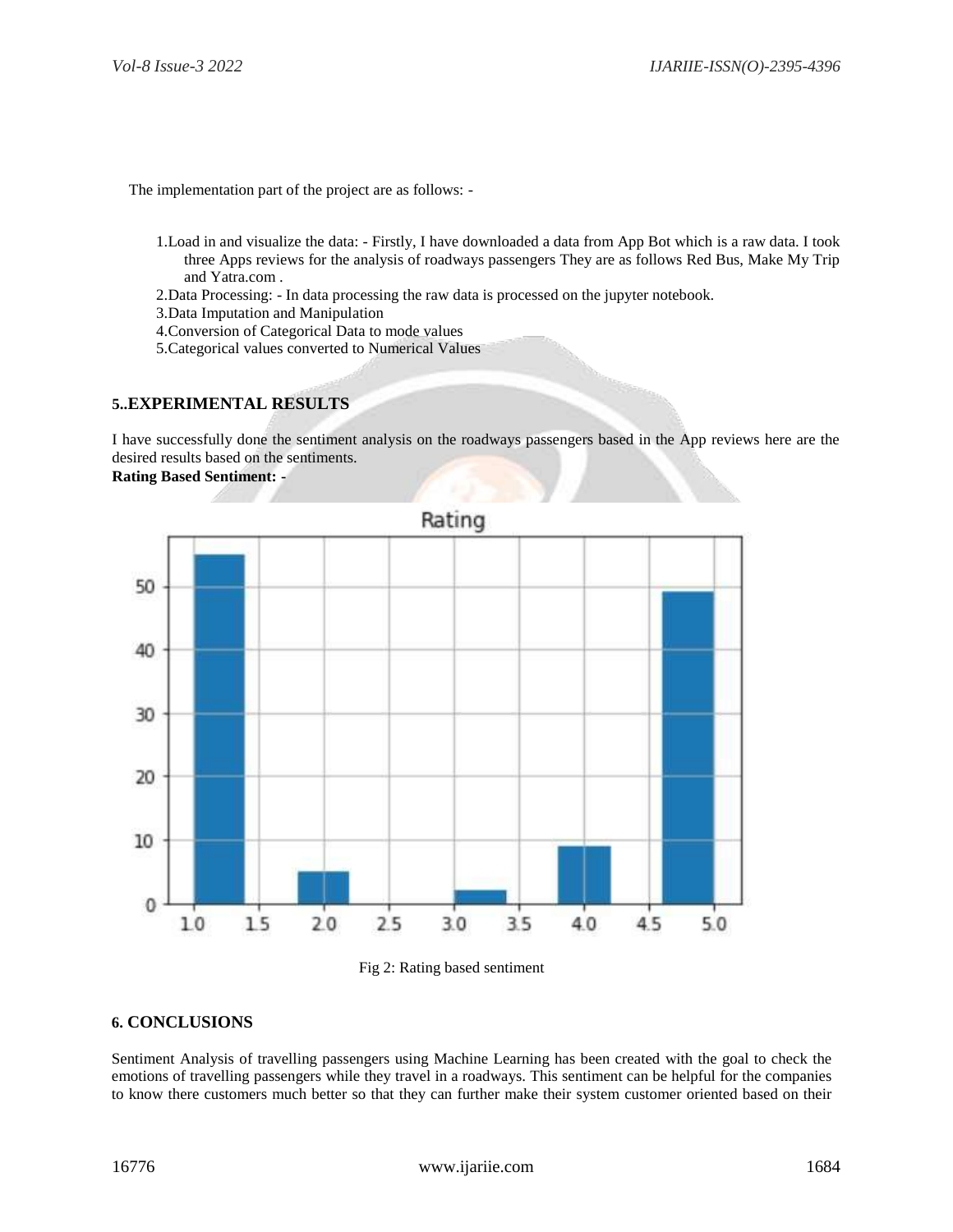The implementation part of the project are as follows: -

- 1.Load in and visualize the data: Firstly, I have downloaded a data from App Bot which is a raw data. I took three Apps reviews for the analysis of roadways passengers They are as follows Red Bus, Make My Trip and Yatra.com .
- 2.Data Processing: In data processing the raw data is processed on the jupyter notebook.
- 3.Data Imputation and Manipulation
- 4.Conversion of Categorical Data to mode values
- 5.Categorical values converted to Numerical Values

## **5..EXPERIMENTAL RESULTS**

I have successfully done the sentiment analysis on the roadways passengers based in the App reviews here are the desired results based on the sentiments.

**Rating Based Sentiment: -**



#### Fig 2: Rating based sentiment

## **6. CONCLUSIONS**

Sentiment Analysis of travelling passengers using Machine Learning has been created with the goal to check the emotions of travelling passengers while they travel in a roadways. This sentiment can be helpful for the companies to know there customers much better so that they can further make their system customer oriented based on their